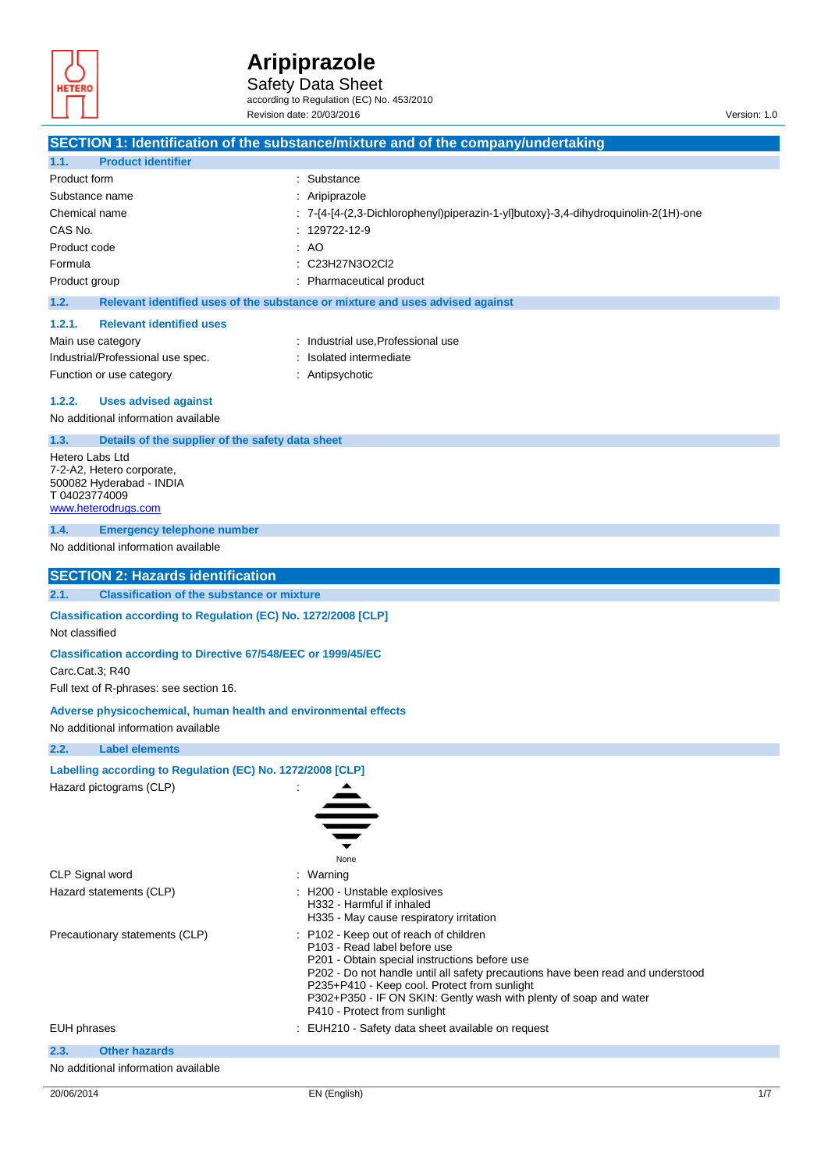

Safety Data Sheet according to Regulation (EC) No. 453/2010

Revision date: 20/03/2016 Version: 1.0

|                                                                                                                  | SECTION 1: Identification of the substance/mixture and of the company/undertaking                                                                                                                                                                                                                                                                             |  |
|------------------------------------------------------------------------------------------------------------------|---------------------------------------------------------------------------------------------------------------------------------------------------------------------------------------------------------------------------------------------------------------------------------------------------------------------------------------------------------------|--|
| <b>Product identifier</b><br>1.1.                                                                                |                                                                                                                                                                                                                                                                                                                                                               |  |
| Product form                                                                                                     | : Substance                                                                                                                                                                                                                                                                                                                                                   |  |
| Substance name                                                                                                   | : Aripiprazole                                                                                                                                                                                                                                                                                                                                                |  |
| Chemical name                                                                                                    | : 7-{4-[4-(2,3-Dichlorophenyl)piperazin-1-yl]butoxy}-3,4-dihydroquinolin-2(1H)-one                                                                                                                                                                                                                                                                            |  |
| CAS No.                                                                                                          | : 129722-12-9                                                                                                                                                                                                                                                                                                                                                 |  |
| Product code                                                                                                     | : A <sub>O</sub>                                                                                                                                                                                                                                                                                                                                              |  |
| Formula                                                                                                          | C23H27N3O2Cl2                                                                                                                                                                                                                                                                                                                                                 |  |
| Product group                                                                                                    | Pharmaceutical product                                                                                                                                                                                                                                                                                                                                        |  |
| 1.2.                                                                                                             | Relevant identified uses of the substance or mixture and uses advised against                                                                                                                                                                                                                                                                                 |  |
| 1.2.1.<br><b>Relevant identified uses</b>                                                                        |                                                                                                                                                                                                                                                                                                                                                               |  |
| Main use category                                                                                                | : Industrial use, Professional use                                                                                                                                                                                                                                                                                                                            |  |
| Industrial/Professional use spec.                                                                                | Isolated intermediate                                                                                                                                                                                                                                                                                                                                         |  |
| Function or use category                                                                                         | : Antipsychotic                                                                                                                                                                                                                                                                                                                                               |  |
| 1.2.2.<br><b>Uses advised against</b>                                                                            |                                                                                                                                                                                                                                                                                                                                                               |  |
| No additional information available                                                                              |                                                                                                                                                                                                                                                                                                                                                               |  |
| 1.3.<br>Details of the supplier of the safety data sheet                                                         |                                                                                                                                                                                                                                                                                                                                                               |  |
| Hetero Labs Ltd<br>7-2-A2, Hetero corporate,<br>500082 Hyderabad - INDIA<br>T 04023774009<br>www.heterodrugs.com |                                                                                                                                                                                                                                                                                                                                                               |  |
| 1.4.<br><b>Emergency telephone number</b>                                                                        |                                                                                                                                                                                                                                                                                                                                                               |  |
| No additional information available                                                                              |                                                                                                                                                                                                                                                                                                                                                               |  |
| <b>SECTION 2: Hazards identification</b>                                                                         |                                                                                                                                                                                                                                                                                                                                                               |  |
| <b>Classification of the substance or mixture</b><br>2.1.                                                        |                                                                                                                                                                                                                                                                                                                                                               |  |
| Classification according to Regulation (EC) No. 1272/2008 [CLP]<br>Not classified                                |                                                                                                                                                                                                                                                                                                                                                               |  |
| <b>Classification according to Directive 67/548/EEC or 1999/45/EC</b>                                            |                                                                                                                                                                                                                                                                                                                                                               |  |
| Carc.Cat.3; R40<br>Full text of R-phrases: see section 16.                                                       |                                                                                                                                                                                                                                                                                                                                                               |  |
| Adverse physicochemical, human health and environmental effects<br>No additional information available           |                                                                                                                                                                                                                                                                                                                                                               |  |
| 2.2.<br>Label elements                                                                                           |                                                                                                                                                                                                                                                                                                                                                               |  |
| Labelling according to Regulation (EC) No. 1272/2008 [CLP]                                                       |                                                                                                                                                                                                                                                                                                                                                               |  |
| Hazard pictograms (CLP)                                                                                          |                                                                                                                                                                                                                                                                                                                                                               |  |
|                                                                                                                  | None                                                                                                                                                                                                                                                                                                                                                          |  |
| CLP Signal word                                                                                                  | : Warning                                                                                                                                                                                                                                                                                                                                                     |  |
| Hazard statements (CLP)                                                                                          | H200 - Unstable explosives<br>H332 - Harmful if inhaled<br>H335 - May cause respiratory irritation                                                                                                                                                                                                                                                            |  |
| Precautionary statements (CLP)                                                                                   | P102 - Keep out of reach of children<br>P103 - Read label before use<br>P201 - Obtain special instructions before use<br>P202 - Do not handle until all safety precautions have been read and understood<br>P235+P410 - Keep cool. Protect from sunlight<br>P302+P350 - IF ON SKIN: Gently wash with plenty of soap and water<br>P410 - Protect from sunlight |  |
| <b>EUH phrases</b>                                                                                               | EUH210 - Safety data sheet available on request                                                                                                                                                                                                                                                                                                               |  |
| <b>Other hazards</b><br>2.3.<br>No additional information available                                              |                                                                                                                                                                                                                                                                                                                                                               |  |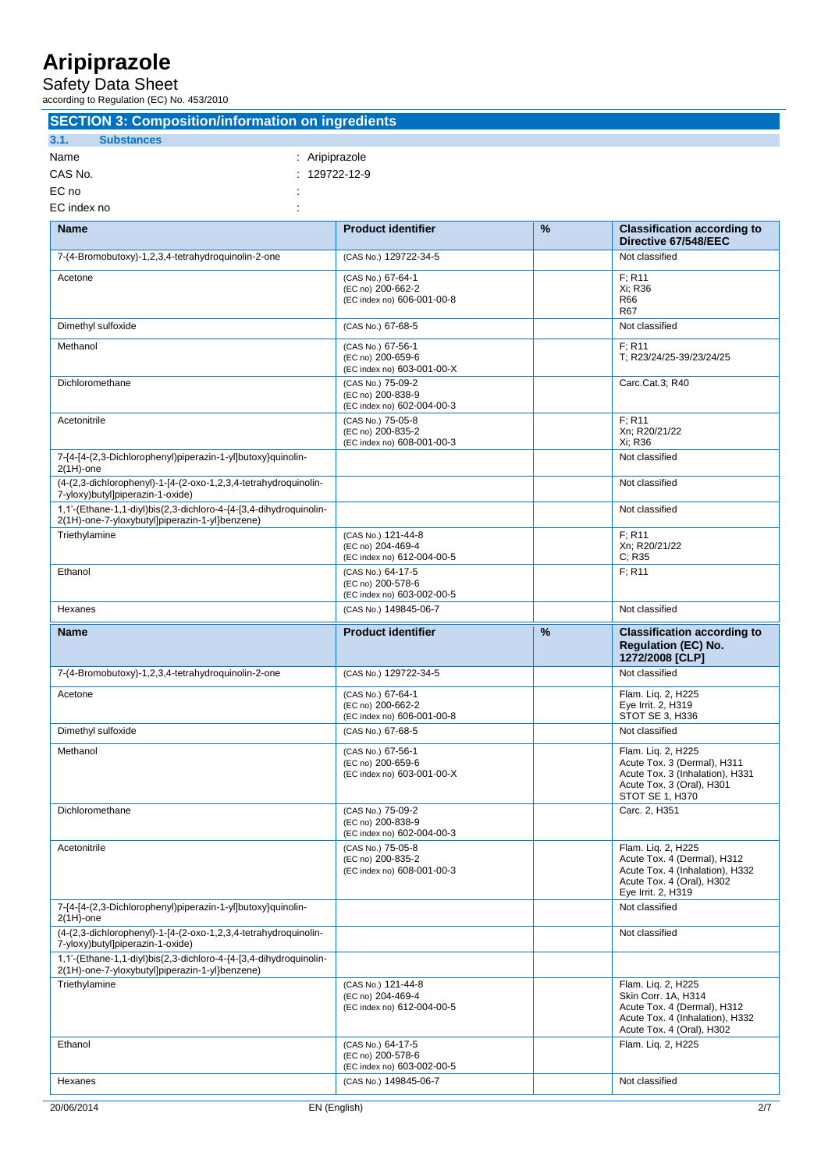Safety Data Sheet

according to Regulation (EC) No. 453/2010

| <b>SECTION 3: Composition/information on ingredients</b>                                                            |                                                                       |      |                                                                                                                                          |
|---------------------------------------------------------------------------------------------------------------------|-----------------------------------------------------------------------|------|------------------------------------------------------------------------------------------------------------------------------------------|
| 3.1.<br><b>Substances</b>                                                                                           |                                                                       |      |                                                                                                                                          |
| Name                                                                                                                | : Aripiprazole                                                        |      |                                                                                                                                          |
| CAS No.                                                                                                             | 129722-12-9                                                           |      |                                                                                                                                          |
| EC no                                                                                                               |                                                                       |      |                                                                                                                                          |
| EC index no                                                                                                         |                                                                       |      |                                                                                                                                          |
| <b>Name</b>                                                                                                         | <b>Product identifier</b>                                             | $\%$ | <b>Classification according to</b><br>Directive 67/548/EEC                                                                               |
| 7-(4-Bromobutoxy)-1,2,3,4-tetrahydroquinolin-2-one                                                                  | (CAS No.) 129722-34-5                                                 |      | Not classified                                                                                                                           |
| Acetone                                                                                                             | (CAS No.) 67-64-1<br>(EC no) 200-662-2<br>(EC index no) 606-001-00-8  |      | F: R11<br>Xi; R36<br>R66<br><b>R67</b>                                                                                                   |
| Dimethyl sulfoxide                                                                                                  | (CAS No.) 67-68-5                                                     |      | Not classified                                                                                                                           |
| Methanol                                                                                                            | (CAS No.) 67-56-1<br>(EC no) 200-659-6<br>(EC index no) 603-001-00-X  |      | F: R11<br>T; R23/24/25-39/23/24/25                                                                                                       |
| Dichloromethane                                                                                                     | (CAS No.) 75-09-2<br>(EC no) 200-838-9<br>(EC index no) 602-004-00-3  |      | Carc.Cat.3; R40                                                                                                                          |
| Acetonitrile                                                                                                        | (CAS No.) 75-05-8<br>(EC no) 200-835-2<br>(EC index no) 608-001-00-3  |      | F: R11<br>Xn: R20/21/22<br>Xi: R36                                                                                                       |
| 7-{4-[4-(2,3-Dichlorophenyl)piperazin-1-yl]butoxy}quinolin-<br>$2(1H)$ -one                                         |                                                                       |      | Not classified                                                                                                                           |
| (4-(2,3-dichlorophenyl)-1-[4-(2-oxo-1,2,3,4-tetrahydroquinolin-<br>7-yloxy)butyl]piperazin-1-oxide)                 |                                                                       |      | Not classified                                                                                                                           |
| 1,1'-(Ethane-1,1-diyl)bis(2,3-dichloro-4-{4-[3,4-dihydroquinolin-<br>2(1H)-one-7-yloxybutyl]piperazin-1-yl}benzene) |                                                                       |      | Not classified                                                                                                                           |
| Triethylamine                                                                                                       | (CAS No.) 121-44-8<br>(EC no) 204-469-4<br>(EC index no) 612-004-00-5 |      | F: R11<br>Xn; R20/21/22<br>C; R35                                                                                                        |
| Ethanol                                                                                                             | (CAS No.) 64-17-5<br>(EC no) 200-578-6<br>(EC index no) 603-002-00-5  |      | F; R11                                                                                                                                   |
| Hexanes                                                                                                             | (CAS No.) 149845-06-7                                                 |      | Not classified                                                                                                                           |
| <b>Name</b>                                                                                                         | <b>Product identifier</b>                                             | %    | <b>Classification according to</b><br><b>Regulation (EC) No.</b><br>1272/2008 [CLP]                                                      |
| 7-(4-Bromobutoxy)-1,2,3,4-tetrahydroquinolin-2-one                                                                  | (CAS No.) 129722-34-5                                                 |      | Not classified                                                                                                                           |
| Acetone                                                                                                             | (CAS No.) 67-64-1<br>(EC no) 200-662-2<br>(EC index no) 606-001-00-8  |      | Flam. Lig. 2, H225<br>Eye Irrit. 2, H319<br>STOT SE 3, H336                                                                              |
| Dimethyl sulfoxide                                                                                                  | (CAS No.) 67-68-5                                                     |      | Not classified                                                                                                                           |
| Methanol                                                                                                            | (CAS No.) 67-56-1<br>(EC no) 200-659-6<br>(EC index no) 603-001-00-X  |      | Flam. Liq. 2, H225<br>Acute Tox. 3 (Dermal), H311<br>Acute Tox. 3 (Inhalation), H331<br>Acute Tox. 3 (Oral), H301<br>STOT SE 1, H370     |
| Dichloromethane                                                                                                     | (CAS No.) 75-09-2<br>(EC no) 200-838-9<br>(EC index no) 602-004-00-3  |      | Carc. 2, H351                                                                                                                            |
| Acetonitrile                                                                                                        | (CAS No.) 75-05-8<br>(EC no) 200-835-2<br>(EC index no) 608-001-00-3  |      | Flam. Lig. 2, H225<br>Acute Tox. 4 (Dermal), H312<br>Acute Tox. 4 (Inhalation), H332<br>Acute Tox. 4 (Oral), H302<br>Eye Irrit. 2, H319  |
| 7-{4-[4-(2,3-Dichlorophenyl)piperazin-1-yl]butoxy}quinolin-<br>$2(1H)$ -one                                         |                                                                       |      | Not classified                                                                                                                           |
| (4-(2,3-dichlorophenyl)-1-[4-(2-oxo-1,2,3,4-tetrahydroquinolin-<br>7-yloxy)butyl]piperazin-1-oxide)                 |                                                                       |      | Not classified                                                                                                                           |
| 1,1'-(Ethane-1,1-diyl)bis(2,3-dichloro-4-{4-[3,4-dihydroquinolin-<br>2(1H)-one-7-yloxybutyl]piperazin-1-yl}benzene) |                                                                       |      |                                                                                                                                          |
| Triethylamine                                                                                                       | (CAS No.) 121-44-8<br>(EC no) 204-469-4<br>(EC index no) 612-004-00-5 |      | Flam. Lig. 2, H225<br>Skin Corr. 1A, H314<br>Acute Tox. 4 (Dermal), H312<br>Acute Tox. 4 (Inhalation), H332<br>Acute Tox. 4 (Oral), H302 |
| Ethanol                                                                                                             | (CAS No.) 64-17-5<br>(EC no) 200-578-6                                |      | Flam. Lig. 2, H225                                                                                                                       |

Hexanes Note and Transmitted CAS No. 3149845-06-7 Note and Transmitted Note and Transmitted Note and Transmitted

(EC index no) 603-002-00-5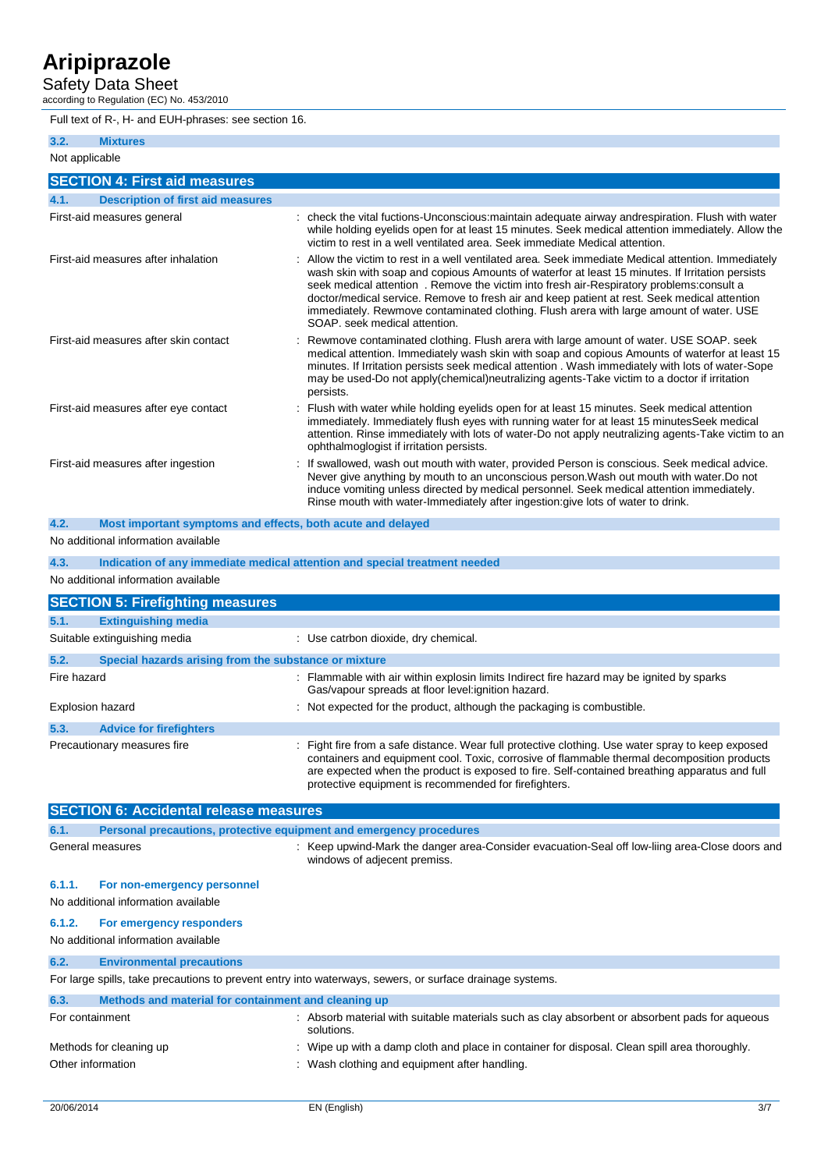Safety Data Sheet

according to Regulation (EC) No. 453/2010

Full text of R-, H- and EUH-phrases: see section 16.

| 3.2.           | <b>Mixtures</b>                                             |                                                                                                                                                                                                                                                                                                                                                                                                                                                                                                                              |
|----------------|-------------------------------------------------------------|------------------------------------------------------------------------------------------------------------------------------------------------------------------------------------------------------------------------------------------------------------------------------------------------------------------------------------------------------------------------------------------------------------------------------------------------------------------------------------------------------------------------------|
|                |                                                             |                                                                                                                                                                                                                                                                                                                                                                                                                                                                                                                              |
| Not applicable |                                                             |                                                                                                                                                                                                                                                                                                                                                                                                                                                                                                                              |
|                | <b>SECTION 4: First aid measures</b>                        |                                                                                                                                                                                                                                                                                                                                                                                                                                                                                                                              |
| 4.1.           | <b>Description of first aid measures</b>                    |                                                                                                                                                                                                                                                                                                                                                                                                                                                                                                                              |
|                | First-aid measures general                                  | check the vital fuctions-Unconscious: maintain adequate airway and respiration. Flush with water<br>while holding eyelids open for at least 15 minutes. Seek medical attention immediately. Allow the<br>victim to rest in a well ventilated area. Seek immediate Medical attention.                                                                                                                                                                                                                                         |
|                | First-aid measures after inhalation                         | Allow the victim to rest in a well ventilated area. Seek immediate Medical attention. Immediately<br>wash skin with soap and copious Amounts of waterfor at least 15 minutes. If Irritation persists<br>seek medical attention. Remove the victim into fresh air-Respiratory problems: consult a<br>doctor/medical service. Remove to fresh air and keep patient at rest. Seek medical attention<br>immediately. Rewmove contaminated clothing. Flush arera with large amount of water. USE<br>SOAP, seek medical attention. |
|                | First-aid measures after skin contact                       | Rewmove contaminated clothing. Flush arera with large amount of water. USE SOAP. seek<br>medical attention. Immediately wash skin with soap and copious Amounts of waterfor at least 15<br>minutes. If Irritation persists seek medical attention . Wash immediately with lots of water-Sope<br>may be used-Do not apply(chemical)neutralizing agents-Take victim to a doctor if irritation<br>persists.                                                                                                                     |
|                | First-aid measures after eye contact                        | Flush with water while holding eyelids open for at least 15 minutes. Seek medical attention<br>immediately. Immediately flush eyes with running water for at least 15 minutesSeek medical<br>attention. Rinse immediately with lots of water-Do not apply neutralizing agents-Take victim to an<br>ophthalmoglogist if irritation persists.                                                                                                                                                                                  |
|                | First-aid measures after ingestion                          | : If swallowed, wash out mouth with water, provided Person is conscious. Seek medical advice.<br>Never give anything by mouth to an unconscious person. Wash out mouth with water. Do not<br>induce vomiting unless directed by medical personnel. Seek medical attention immediately.<br>Rinse mouth with water-Immediately after ingestion: give lots of water to drink.                                                                                                                                                   |
| 4.2.           | Most important symptoms and effects, both acute and delayed |                                                                                                                                                                                                                                                                                                                                                                                                                                                                                                                              |

#### No additional information available

**4.3. Indication of any immediate medical attention and special treatment needed**

No additional information available

|             | <b>SECTION 5: Firefighting measures</b>               |                                                                                                                                                                                                                                                                                                   |
|-------------|-------------------------------------------------------|---------------------------------------------------------------------------------------------------------------------------------------------------------------------------------------------------------------------------------------------------------------------------------------------------|
| 5.1.        | <b>Extinguishing media</b>                            |                                                                                                                                                                                                                                                                                                   |
|             | Suitable extinguishing media                          | : Use catrbon dioxide, dry chemical.                                                                                                                                                                                                                                                              |
| 5.2.        | Special hazards arising from the substance or mixture |                                                                                                                                                                                                                                                                                                   |
| Fire hazard |                                                       | : Flammable with air within explosin limits Indirect fire hazard may be ignited by sparks<br>Gas/vapour spreads at floor level: ignition hazard.                                                                                                                                                  |
|             | <b>Explosion hazard</b>                               | : Not expected for the product, although the packaging is combustible.                                                                                                                                                                                                                            |
| 5.3.        | <b>Advice for firefighters</b>                        |                                                                                                                                                                                                                                                                                                   |
|             | Precautionary measures fire                           | : Fight fire from a safe distance. Wear full protective clothing. Use water spray to keep exposed<br>containers and equipment cool. Toxic, corrosive of flammable thermal decomposition products<br>are expected when the product is exposed to fire. Self-contained breathing apparatus and full |

protective equipment is recommended for firefighters.

| <b>SECTION 6: Accidental release measures</b> |                                                                     |                                                                                                                                |
|-----------------------------------------------|---------------------------------------------------------------------|--------------------------------------------------------------------------------------------------------------------------------|
| 6.1.                                          | Personal precautions, protective equipment and emergency procedures |                                                                                                                                |
|                                               | General measures                                                    | : Keep upwind-Mark the danger area-Consider evacuation-Seal off low-liing area-Close doors and<br>windows of adjecent premiss. |
| 6.1.1.                                        | For non-emergency personnel                                         |                                                                                                                                |
|                                               | No additional information available                                 |                                                                                                                                |
| 6.1.2.                                        | For emergency responders                                            |                                                                                                                                |
|                                               | No additional information available                                 |                                                                                                                                |
| 6.2.                                          | <b>Environmental precautions</b>                                    |                                                                                                                                |
|                                               |                                                                     | For large spills, take precautions to prevent entry into waterways, sewers, or surface drainage systems.                       |
| 6.3.                                          | Methods and material for containment and cleaning up                |                                                                                                                                |
|                                               | For containment                                                     | : Absorb material with suitable materials such as clay absorbent or absorbent pads for aqueous<br>solutions.                   |
|                                               | Methods for cleaning up                                             | : Wipe up with a damp cloth and place in container for disposal. Clean spill area thoroughly.                                  |
|                                               | Other information                                                   | : Wash clothing and equipment after handling.                                                                                  |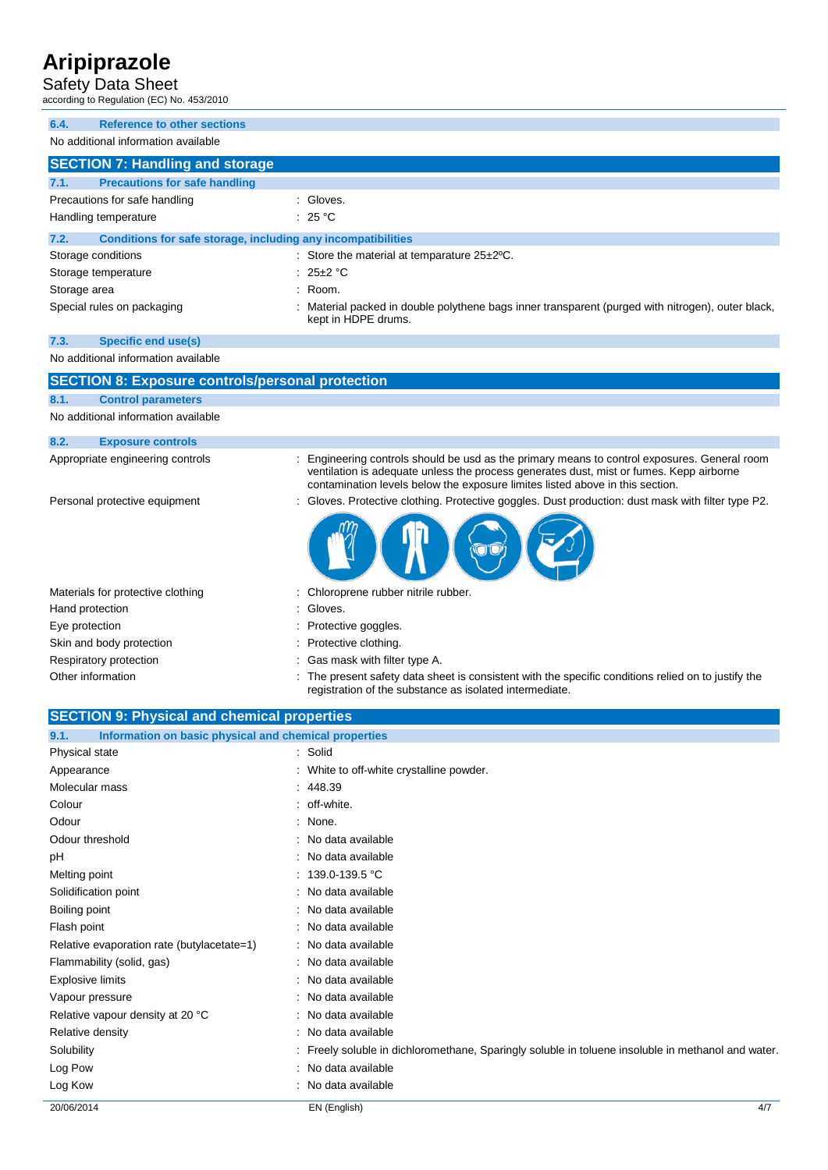#### Safety Data Sheet

according to Regulation (EC) No. 453/2010

| <b>Reference to other sections</b><br>6.4.                           |                                                                                                                                                                                                                                                                        |
|----------------------------------------------------------------------|------------------------------------------------------------------------------------------------------------------------------------------------------------------------------------------------------------------------------------------------------------------------|
| No additional information available                                  |                                                                                                                                                                                                                                                                        |
| <b>SECTION 7: Handling and storage</b>                               |                                                                                                                                                                                                                                                                        |
| <b>Precautions for safe handling</b><br>7.1.                         |                                                                                                                                                                                                                                                                        |
| Precautions for safe handling                                        | : Gloves.                                                                                                                                                                                                                                                              |
| Handling temperature                                                 | : 25 $^{\circ}$ C                                                                                                                                                                                                                                                      |
| 7.2.<br>Conditions for safe storage, including any incompatibilities |                                                                                                                                                                                                                                                                        |
| Storage conditions                                                   | : Store the material at temparature $25\pm2\degree$ C.                                                                                                                                                                                                                 |
| Storage temperature                                                  | $25\pm2$ °C                                                                                                                                                                                                                                                            |
| Storage area                                                         | Room.                                                                                                                                                                                                                                                                  |
| Special rules on packaging                                           | Material packed in double polythene bags inner transparent (purged with nitrogen), outer black,                                                                                                                                                                        |
|                                                                      | kept in HDPE drums.                                                                                                                                                                                                                                                    |
| 7.3.<br><b>Specific end use(s)</b>                                   |                                                                                                                                                                                                                                                                        |
| No additional information available                                  |                                                                                                                                                                                                                                                                        |
|                                                                      |                                                                                                                                                                                                                                                                        |
| <b>SECTION 8: Exposure controls/personal protection</b>              |                                                                                                                                                                                                                                                                        |
| 8.1.<br><b>Control parameters</b>                                    |                                                                                                                                                                                                                                                                        |
| No additional information available                                  |                                                                                                                                                                                                                                                                        |
| 8.2.<br><b>Exposure controls</b>                                     |                                                                                                                                                                                                                                                                        |
| Appropriate engineering controls                                     | Engineering controls should be usd as the primary means to control exposures. General room<br>ventilation is adequate unless the process generates dust, mist or fumes. Kepp airborne<br>contamination levels below the exposure limites listed above in this section. |
| Personal protective equipment                                        | : Gloves. Protective clothing. Protective goggles. Dust production: dust mask with filter type P2.                                                                                                                                                                     |
|                                                                      |                                                                                                                                                                                                                                                                        |
| Materials for protective clothing                                    | Chloroprene rubber nitrile rubber.                                                                                                                                                                                                                                     |
| Hand protection                                                      | Gloves.                                                                                                                                                                                                                                                                |
| Eye protection                                                       | Protective goggles.                                                                                                                                                                                                                                                    |
| Skin and body protection                                             | Protective clothing.                                                                                                                                                                                                                                                   |
| Respiratory protection                                               | Gas mask with filter type A.                                                                                                                                                                                                                                           |
| Other information                                                    | The present safety data sheet is consistent with the specific conditions relied on to justify the                                                                                                                                                                      |
|                                                                      | registration of the substance as isolated intermediate.                                                                                                                                                                                                                |
| <b>SECTION 9: Physical and chemical properties</b>                   |                                                                                                                                                                                                                                                                        |
| 9.1.<br>Information on basic physical and chemical properties        |                                                                                                                                                                                                                                                                        |
| Physical state                                                       | Solid                                                                                                                                                                                                                                                                  |
| Appearance                                                           | White to off-white crystalline powder.                                                                                                                                                                                                                                 |
| Molecular mass                                                       | 448.39                                                                                                                                                                                                                                                                 |
| Colour                                                               | off-white.                                                                                                                                                                                                                                                             |
| Odour                                                                | None.                                                                                                                                                                                                                                                                  |
| Odour threshold                                                      | No data available                                                                                                                                                                                                                                                      |
| рH                                                                   | No data available                                                                                                                                                                                                                                                      |
| Melting point                                                        | 139.0-139.5 °C                                                                                                                                                                                                                                                         |
| Solidification point                                                 | No data available                                                                                                                                                                                                                                                      |
| Boiling point                                                        | No data available                                                                                                                                                                                                                                                      |
| Flash point                                                          | No data available                                                                                                                                                                                                                                                      |
| Relative evaporation rate (butylacetate=1)                           | No data available                                                                                                                                                                                                                                                      |
| Flammability (solid, gas)                                            | No data available                                                                                                                                                                                                                                                      |
| <b>Explosive limits</b>                                              | No data available                                                                                                                                                                                                                                                      |
| Vapour pressure                                                      | No data available                                                                                                                                                                                                                                                      |
| Relative vapour density at 20 °C                                     | No data available                                                                                                                                                                                                                                                      |
| Relative density                                                     | : No data available                                                                                                                                                                                                                                                    |
| Solubility                                                           | Freely soluble in dichloromethane, Sparingly soluble in toluene insoluble in methanol and water.                                                                                                                                                                       |
| Log Pow                                                              | No data available                                                                                                                                                                                                                                                      |
| Log Kow                                                              | No data available                                                                                                                                                                                                                                                      |
|                                                                      |                                                                                                                                                                                                                                                                        |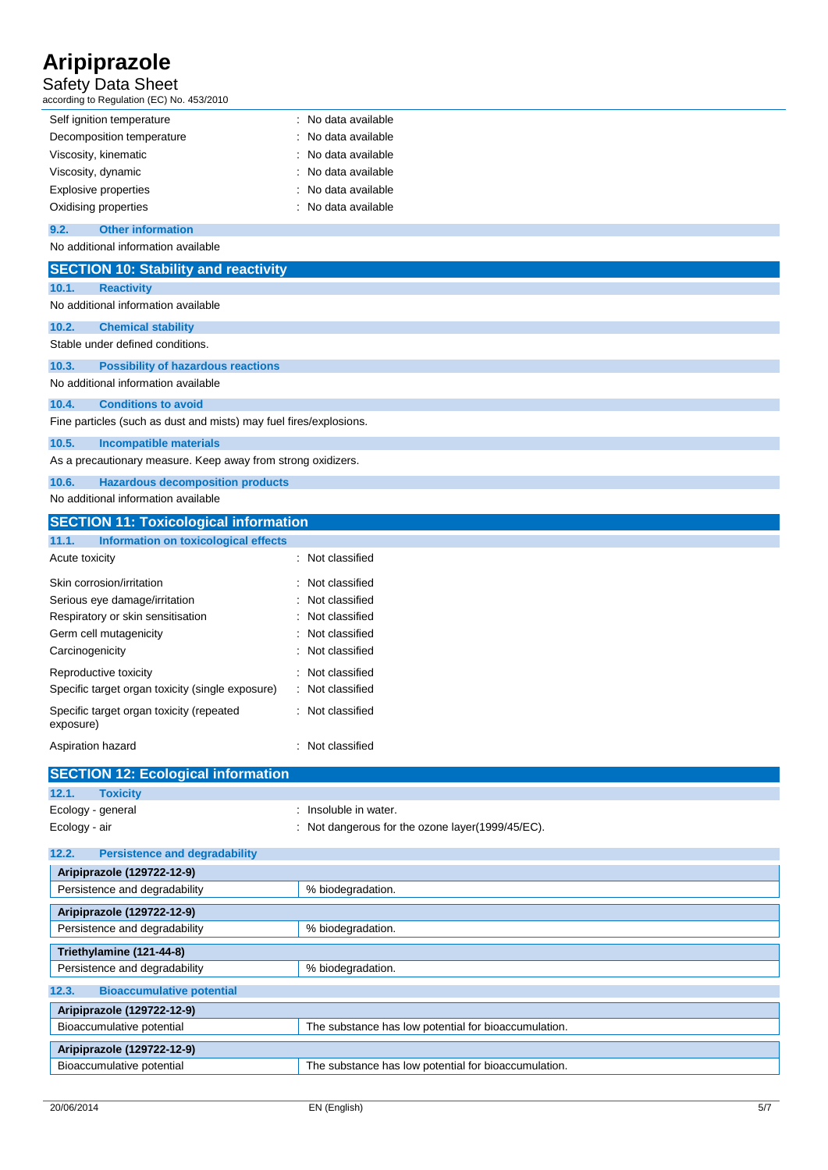### Safety Data Sheet

| according to Regulation (EC) No. 453/2010                          |                                                      |
|--------------------------------------------------------------------|------------------------------------------------------|
| Self ignition temperature                                          | : No data available                                  |
| Decomposition temperature                                          | No data available                                    |
| Viscosity, kinematic                                               | No data available                                    |
| Viscosity, dynamic                                                 | No data available                                    |
| <b>Explosive properties</b>                                        | No data available                                    |
| Oxidising properties                                               | No data available                                    |
| 9.2.<br><b>Other information</b>                                   |                                                      |
| No additional information available                                |                                                      |
| <b>SECTION 10: Stability and reactivity</b>                        |                                                      |
| 10.1.<br><b>Reactivity</b>                                         |                                                      |
| No additional information available                                |                                                      |
|                                                                    |                                                      |
| 10.2.<br><b>Chemical stability</b>                                 |                                                      |
| Stable under defined conditions.                                   |                                                      |
| 10.3.<br><b>Possibility of hazardous reactions</b>                 |                                                      |
| No additional information available                                |                                                      |
| 10.4.<br><b>Conditions to avoid</b>                                |                                                      |
| Fine particles (such as dust and mists) may fuel fires/explosions. |                                                      |
| 10.5.<br><b>Incompatible materials</b>                             |                                                      |
| As a precautionary measure. Keep away from strong oxidizers.       |                                                      |
| 10.6.<br><b>Hazardous decomposition products</b>                   |                                                      |
| No additional information available                                |                                                      |
| <b>SECTION 11: Toxicological information</b>                       |                                                      |
| 11.1.<br>Information on toxicological effects                      |                                                      |
| Acute toxicity                                                     | : Not classified                                     |
|                                                                    |                                                      |
| Skin corrosion/irritation                                          | Not classified<br>Not classified                     |
| Serious eye damage/irritation                                      | Not classified                                       |
| Respiratory or skin sensitisation<br>Germ cell mutagenicity        | Not classified                                       |
| Carcinogenicity                                                    | Not classified                                       |
|                                                                    |                                                      |
| Reproductive toxicity                                              | Not classified                                       |
| Specific target organ toxicity (single exposure)                   | Not classified                                       |
| Specific target organ toxicity (repeated<br>exposure)              | : Not classified                                     |
| Aspiration hazard                                                  | : Not classified                                     |
|                                                                    |                                                      |
| <b>SECTION 12: Ecological information</b>                          |                                                      |
| <b>Toxicity</b><br>12.1.                                           |                                                      |
| Ecology - general                                                  | Insoluble in water.                                  |
| Ecology - air                                                      | : Not dangerous for the ozone layer(1999/45/EC).     |
| 12.2.<br><b>Persistence and degradability</b>                      |                                                      |
| Aripiprazole (129722-12-9)                                         |                                                      |
| Persistence and degradability                                      | % biodegradation.                                    |
| Aripiprazole (129722-12-9)                                         |                                                      |
| Persistence and degradability                                      | % biodegradation.                                    |
|                                                                    |                                                      |
| Triethylamine (121-44-8)                                           |                                                      |
| Persistence and degradability                                      | % biodegradation.                                    |
| 12.3.<br><b>Bioaccumulative potential</b>                          |                                                      |
| Aripiprazole (129722-12-9)                                         |                                                      |
| Bioaccumulative potential                                          | The substance has low potential for bioaccumulation. |
| Aripiprazole (129722-12-9)                                         |                                                      |
| Bioaccumulative potential                                          | The substance has low potential for bioaccumulation. |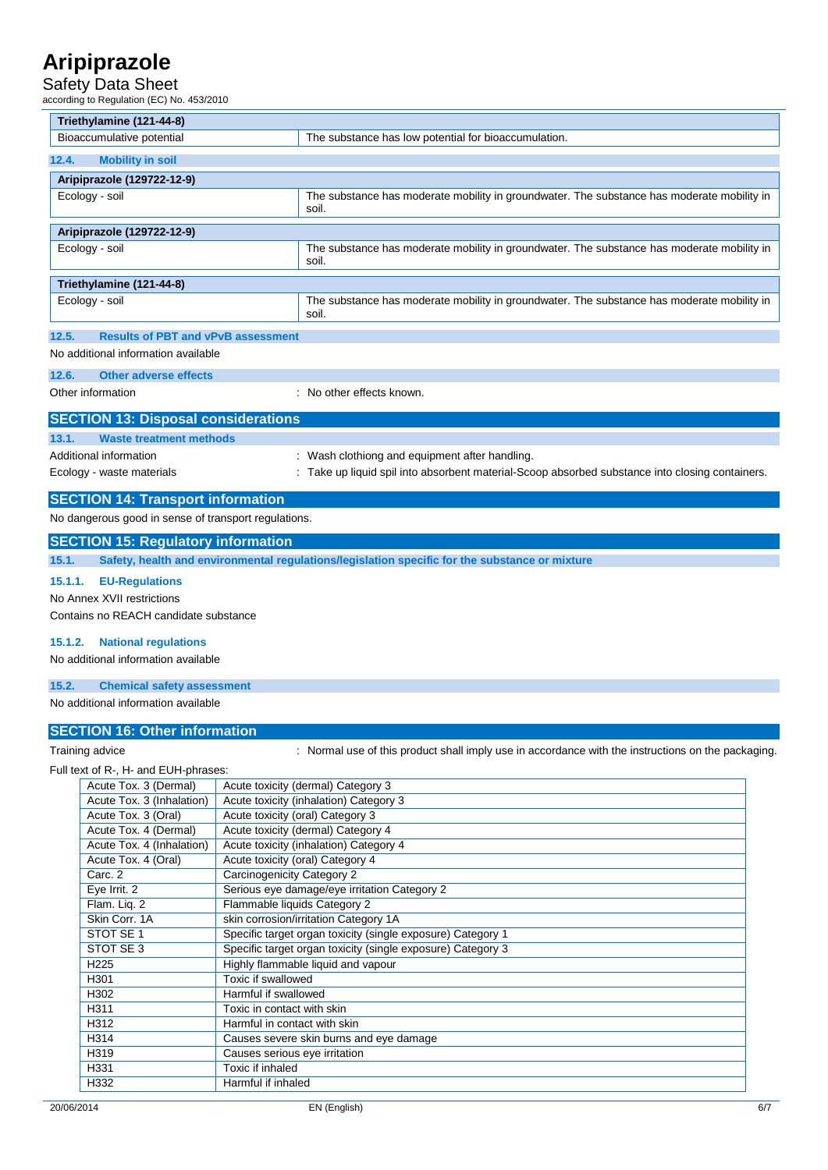### Safety Data Sheet

according to Regulation (EC) No. 453/2010

| Triethylamine (121-44-8)                             |                                                                                                     |
|------------------------------------------------------|-----------------------------------------------------------------------------------------------------|
| Bioaccumulative potential                            | The substance has low potential for bioaccumulation.                                                |
| <b>Mobility in soil</b><br>12.4.                     |                                                                                                     |
| Aripiprazole (129722-12-9)                           |                                                                                                     |
| Ecology - soil                                       | The substance has moderate mobility in groundwater. The substance has moderate mobility in<br>soil. |
| Aripiprazole (129722-12-9)                           |                                                                                                     |
| Ecology - soil                                       | The substance has moderate mobility in groundwater. The substance has moderate mobility in<br>soil. |
| Triethylamine (121-44-8)                             |                                                                                                     |
| Ecology - soil                                       | The substance has moderate mobility in groundwater. The substance has moderate mobility in<br>soil. |
| 12.5.<br><b>Results of PBT and vPvB assessment</b>   |                                                                                                     |
| No additional information available                  |                                                                                                     |
| Other adverse effects<br>12.6.                       |                                                                                                     |
| Other information                                    | : No other effects known.                                                                           |
| <b>SECTION 13: Disposal considerations</b>           |                                                                                                     |
| <b>Waste treatment methods</b><br>13.1.              |                                                                                                     |
| Additional information                               | Wash clothiong and equipment after handling.                                                        |
| Ecology - waste materials                            | Take up liquid spil into absorbent material-Scoop absorbed substance into closing containers.       |
| <b>SECTION 14: Transport information</b>             |                                                                                                     |
| No dangerous good in sense of transport regulations. |                                                                                                     |
| <b>SECTION 15: Regulatory information</b>            |                                                                                                     |
| 15.1.                                                | Safety, health and environmental regulations/legislation specific for the substance or mixture      |

**15.1.1. EU-Regulations**

No Annex XVII restrictions

Contains no REACH candidate substance

#### **15.1.2. National regulations**

No additional information available

#### **15.2. Chemical safety assessment**

No additional information available

### **SECTION 16: Other information**

Training advice **incorporal incording to the packaging.** South the instructions on the packaging.

#### Full text of R-, H- and EUH-phrases:

| $\frac{1}{2}$ and $\frac{1}{2}$ and $\frac{1}{2}$ and $\frac{1}{2}$ and $\frac{1}{2}$ and $\frac{1}{2}$ and $\frac{1}{2}$ |                                                             |
|---------------------------------------------------------------------------------------------------------------------------|-------------------------------------------------------------|
| Acute Tox. 3 (Dermal)                                                                                                     | Acute toxicity (dermal) Category 3                          |
| Acute Tox. 3 (Inhalation)                                                                                                 | Acute toxicity (inhalation) Category 3                      |
| Acute Tox. 3 (Oral)                                                                                                       | Acute toxicity (oral) Category 3                            |
| Acute Tox. 4 (Dermal)                                                                                                     | Acute toxicity (dermal) Category 4                          |
| Acute Tox. 4 (Inhalation)                                                                                                 | Acute toxicity (inhalation) Category 4                      |
| Acute Tox. 4 (Oral)                                                                                                       | Acute toxicity (oral) Category 4                            |
| Carc. 2                                                                                                                   | Carcinogenicity Category 2                                  |
| Eye Irrit. 2                                                                                                              | Serious eye damage/eye irritation Category 2                |
| Flam. Liq. 2                                                                                                              | Flammable liquids Category 2                                |
| Skin Corr. 1A                                                                                                             | skin corrosion/irritation Category 1A                       |
| STOT SE 1                                                                                                                 | Specific target organ toxicity (single exposure) Category 1 |
| STOT SE 3                                                                                                                 | Specific target organ toxicity (single exposure) Category 3 |
| H <sub>225</sub>                                                                                                          | Highly flammable liquid and vapour                          |
| H301                                                                                                                      | Toxic if swallowed                                          |
| H302                                                                                                                      | Harmful if swallowed                                        |
| H311                                                                                                                      | Toxic in contact with skin                                  |
| H312                                                                                                                      | Harmful in contact with skin                                |
| H314                                                                                                                      | Causes severe skin burns and eye damage                     |
| H319                                                                                                                      | Causes serious eye irritation                               |
| H331                                                                                                                      | Toxic if inhaled                                            |
| H332                                                                                                                      | Harmful if inhaled                                          |
|                                                                                                                           |                                                             |